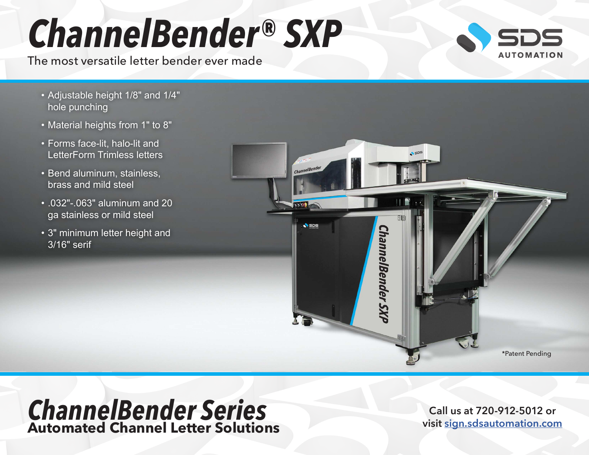# *ChannelBender® SXP*

The most versatile letter bender ever made



- Adjustable height 1/8" and 1/4" hole punching
- Material heights from 1" to 8"
- Forms face-lit, halo-lit and LetterForm Trimless letters
- Bend aluminum, stainless, brass and mild steel
- .032"-.063" aluminum and 20 ga stainless or mild steel
- 3" minimum letter height and 3/16" serif



### *ChannelBender Series* **Automated Channel Letter Solutions**

**Call us at 720-912-5012 or visit [sign.sdsautomation.com](https://sign.sdsautomation.com/?utm_source=PDF+Spec+Sheets&utm_medium=PDF&utm_campaign=Literature)**